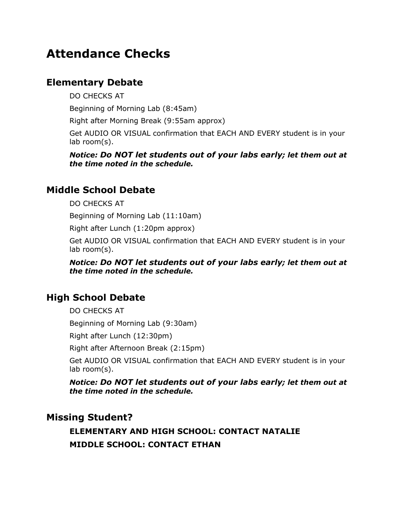## **Attendance Checks**

### **Elementary Debate**

DO CHECKS AT

Beginning of Morning Lab (8:45am)

Right after Morning Break (9:55am approx)

Get AUDIO OR VISUAL confirmation that EACH AND EVERY student is in your lab room(s).

*Notice: Do NOT let students out of your labs early; let them out at the time noted in the schedule.*

## **Middle School Debate**

DO CHECKS AT

Beginning of Morning Lab (11:10am)

Right after Lunch (1:20pm approx)

Get AUDIO OR VISUAL confirmation that EACH AND EVERY student is in your lab room(s).

*Notice: Do NOT let students out of your labs early; let them out at the time noted in the schedule.*

#### **High School Debate**

DO CHECKS AT

Beginning of Morning Lab (9:30am)

Right after Lunch (12:30pm)

Right after Afternoon Break (2:15pm)

Get AUDIO OR VISUAL confirmation that EACH AND EVERY student is in your lab room(s).

*Notice: Do NOT let students out of your labs early; let them out at the time noted in the schedule.*

#### **Missing Student?**

**ELEMENTARY AND HIGH SCHOOL: CONTACT NATALIE MIDDLE SCHOOL: CONTACT ETHAN**